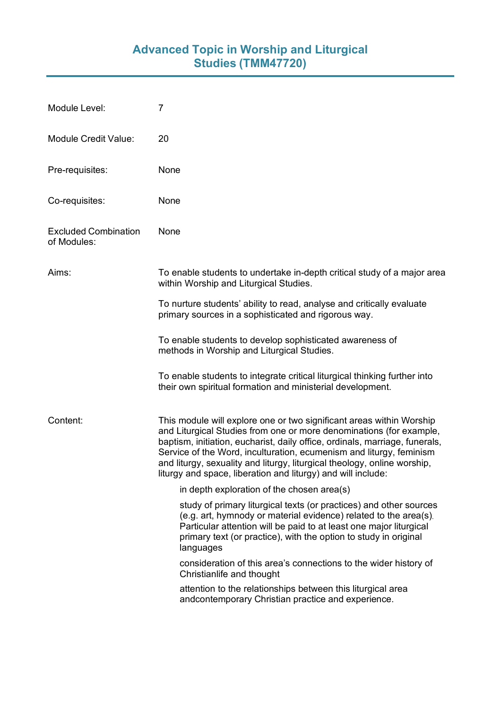## **Advanced Topic in Worship and Liturgical Studies (TMM47720)**

| Module Level:                              | 7                                                                                                                                                                                                                                                                                                                                                                                                                                             |
|--------------------------------------------|-----------------------------------------------------------------------------------------------------------------------------------------------------------------------------------------------------------------------------------------------------------------------------------------------------------------------------------------------------------------------------------------------------------------------------------------------|
| <b>Module Credit Value:</b>                | 20                                                                                                                                                                                                                                                                                                                                                                                                                                            |
| Pre-requisites:                            | None                                                                                                                                                                                                                                                                                                                                                                                                                                          |
| Co-requisites:                             | None                                                                                                                                                                                                                                                                                                                                                                                                                                          |
| <b>Excluded Combination</b><br>of Modules: | None                                                                                                                                                                                                                                                                                                                                                                                                                                          |
| Aims:                                      | To enable students to undertake in-depth critical study of a major area<br>within Worship and Liturgical Studies.                                                                                                                                                                                                                                                                                                                             |
|                                            | To nurture students' ability to read, analyse and critically evaluate<br>primary sources in a sophisticated and rigorous way.                                                                                                                                                                                                                                                                                                                 |
|                                            | To enable students to develop sophisticated awareness of<br>methods in Worship and Liturgical Studies.                                                                                                                                                                                                                                                                                                                                        |
|                                            | To enable students to integrate critical liturgical thinking further into<br>their own spiritual formation and ministerial development.                                                                                                                                                                                                                                                                                                       |
| Content:                                   | This module will explore one or two significant areas within Worship<br>and Liturgical Studies from one or more denominations (for example,<br>baptism, initiation, eucharist, daily office, ordinals, marriage, funerals,<br>Service of the Word, inculturation, ecumenism and liturgy, feminism<br>and liturgy, sexuality and liturgy, liturgical theology, online worship,<br>liturgy and space, liberation and liturgy) and will include: |
|                                            | in depth exploration of the chosen area(s)                                                                                                                                                                                                                                                                                                                                                                                                    |
|                                            | study of primary liturgical texts (or practices) and other sources<br>(e.g. art, hymnody or material evidence) related to the area(s).<br>Particular attention will be paid to at least one major liturgical<br>primary text (or practice), with the option to study in original<br>languages                                                                                                                                                 |
|                                            | consideration of this area's connections to the wider history of<br>Christianlife and thought                                                                                                                                                                                                                                                                                                                                                 |
|                                            | attention to the relationships between this liturgical area<br>andcontemporary Christian practice and experience.                                                                                                                                                                                                                                                                                                                             |